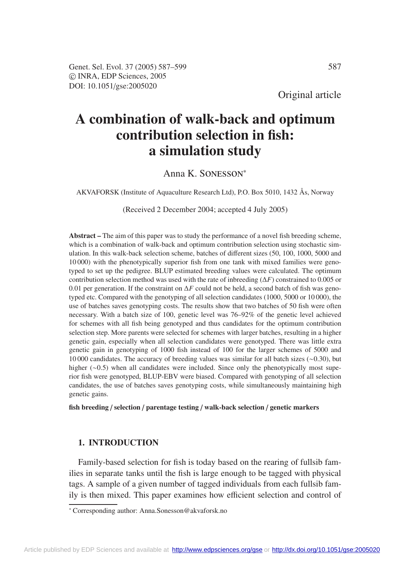# **A combination of walk-back and optimum contribution selection in fish: a simulation study**

Anna K. SONESSON<sup>\*</sup>

AKVAFORSK (Institute of Aquaculture Research Ltd), P.O. Box 5010, 1432 Ås, Norway

(Received 2 December 2004; accepted 4 July 2005)

**Abstract –** The aim of this paper was to study the performance of a novel fish breeding scheme, which is a combination of walk-back and optimum contribution selection using stochastic simulation. In this walk-back selection scheme, batches of different sizes (50, 100, 1000, 5000 and 10 000) with the phenotypically superior fish from one tank with mixed families were genotyped to set up the pedigree. BLUP estimated breeding values were calculated. The optimum contribution selection method was used with the rate of inbreeding (∆*F*) constrained to 0.005 or 0.01 per generation. If the constraint on ∆*F* could not be held, a second batch of fish was genotyped etc. Compared with the genotyping of all selection candidates (1000, 5000 or 10 000), the use of batches saves genotyping costs. The results show that two batches of 50 fish were often necessary. With a batch size of 100, genetic level was 76–92% of the genetic level achieved for schemes with all fish being genotyped and thus candidates for the optimum contribution selection step. More parents were selected for schemes with larger batches, resulting in a higher genetic gain, especially when all selection candidates were genotyped. There was little extra genetic gain in genotyping of 1000 fish instead of 100 for the larger schemes of 5000 and 10 000 candidates. The accuracy of breeding values was similar for all batch sizes (∼0.30), but higher (∼0.5) when all candidates were included. Since only the phenotypically most superior fish were genotyped, BLUP-EBV were biased. Compared with genotyping of all selection candidates, the use of batches saves genotyping costs, while simultaneously maintaining high genetic gains.

**fish breeding** / **selection** / **parentage testing** / **walk-back selection** / **genetic markers**

## **1. INTRODUCTION**

Family-based selection for fish is today based on the rearing of fullsib families in separate tanks until the fish is large enough to be tagged with physical tags. A sample of a given number of tagged individuals from each fullsib family is then mixed. This paper examines how efficient selection and control of

<sup>∗</sup> Corresponding author: Anna.Sonesson@akvaforsk.no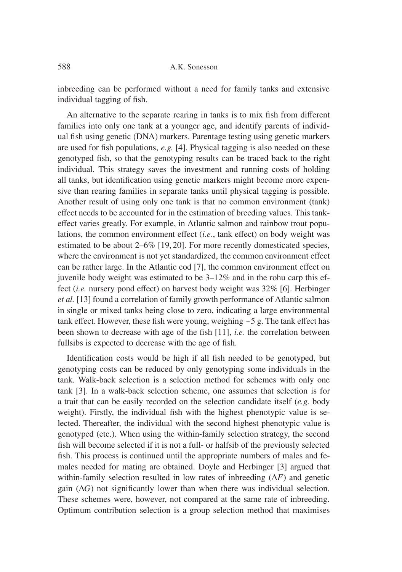inbreeding can be performed without a need for family tanks and extensive individual tagging of fish.

An alternative to the separate rearing in tanks is to mix fish from different families into only one tank at a younger age, and identify parents of individual fish using genetic (DNA) markers. Parentage testing using genetic markers are used for fish populations, *e.g.* [4]. Physical tagging is also needed on these genotyped fish, so that the genotyping results can be traced back to the right individual. This strategy saves the investment and running costs of holding all tanks, but identification using genetic markers might become more expensive than rearing families in separate tanks until physical tagging is possible. Another result of using only one tank is that no common environment (tank) effect needs to be accounted for in the estimation of breeding values. This tankeffect varies greatly. For example, in Atlantic salmon and rainbow trout populations, the common environment effect (*i.e.*, tank effect) on body weight was estimated to be about 2–6% [19, 20]. For more recently domesticated species, where the environment is not yet standardized, the common environment effect can be rather large. In the Atlantic cod [7], the common environment effect on juvenile body weight was estimated to be 3–12% and in the rohu carp this effect (*i.e.* nursery pond effect) on harvest body weight was 32% [6]. Herbinger *et al.* [13] found a correlation of family growth performance of Atlantic salmon in single or mixed tanks being close to zero, indicating a large environmental tank effect. However, these fish were young, weighing ∼5 g. The tank effect has been shown to decrease with age of the fish [11], *i.e.* the correlation between fullsibs is expected to decrease with the age of fish.

Identification costs would be high if all fish needed to be genotyped, but genotyping costs can be reduced by only genotyping some individuals in the tank. Walk-back selection is a selection method for schemes with only one tank [3]. In a walk-back selection scheme, one assumes that selection is for a trait that can be easily recorded on the selection candidate itself (*e.g.* body weight). Firstly, the individual fish with the highest phenotypic value is selected. Thereafter, the individual with the second highest phenotypic value is genotyped (etc.). When using the within-family selection strategy, the second fish will become selected if it is not a full- or halfsib of the previously selected fish. This process is continued until the appropriate numbers of males and females needed for mating are obtained. Doyle and Herbinger [3] argued that within-family selection resulted in low rates of inbreeding (∆*F*) and genetic gain (∆*G*) not significantly lower than when there was individual selection. These schemes were, however, not compared at the same rate of inbreeding. Optimum contribution selection is a group selection method that maximises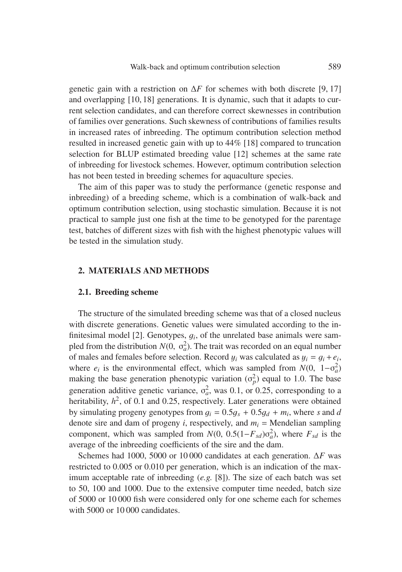genetic gain with a restriction on ∆*F* for schemes with both discrete [9, 17] and overlapping [10, 18] generations. It is dynamic, such that it adapts to current selection candidates, and can therefore correct skewnesses in contribution of families over generations. Such skewness of contributions of families results in increased rates of inbreeding. The optimum contribution selection method resulted in increased genetic gain with up to 44% [18] compared to truncation selection for BLUP estimated breeding value [12] schemes at the same rate of inbreeding for livestock schemes. However, optimum contribution selection has not been tested in breeding schemes for aquaculture species.

The aim of this paper was to study the performance (genetic response and inbreeding) of a breeding scheme, which is a combination of walk-back and optimum contribution selection, using stochastic simulation. Because it is not practical to sample just one fish at the time to be genotyped for the parentage test, batches of different sizes with fish with the highest phenotypic values will be tested in the simulation study.

### **2. MATERIALS AND METHODS**

#### **2.1. Breeding scheme**

The structure of the simulated breeding scheme was that of a closed nucleus with discrete generations. Genetic values were simulated according to the infinitesimal model  $[2]$ . Genotypes,  $g_i$ , of the unrelated base animals were sampled from the distribution  $N(0, \sigma_a^2)$ . The trait was recorded on an equal number<br>of males and females before selection. Becord u, was calculated as  $u_1 = a_1 + a_2$ . of males and females before selection. Record  $y_i$  was calculated as  $y_i = g_i + e_i$ , where  $e_i$  is the environmental effect, which was sampled from  $N(0, 1-\sigma_d^2)$ <br>making the base generation phenotypic variation  $(\sigma^2)$  equal to 1.0. The base making the base generation phenotypic variation  $(\sigma_p^2)$  equal to 1.0. The base generation additive genetic variance,  $\sigma_a^2$ , was 0.1, or 0.25, corresponding to a heritability,  $h^2$ , of 0.1 and 0.25, respectively. Later generations were obtained by simulating progeny genotypes from  $g_i = 0.5g_s + 0.5g_d + m_i$ , where *s* and *d* denote sire and dam of progeny *i*, respectively, and  $m<sub>i</sub>$  = Mendelian sampling component, which was sampled from  $N(0, 0.5(1 - F_{sd})\sigma_a^2)$ , where  $F_{sd}$  is the average of the inbreeding coefficients of the sire and the dam.

Schemes had 1000, 5000 or 10 000 candidates at each generation. ∆*F* was restricted to 0.005 or 0.010 per generation, which is an indication of the maximum acceptable rate of inbreeding (*e.g.* [8]). The size of each batch was set to 50, 100 and 1000. Due to the extensive computer time needed, batch size of 5000 or 10 000 fish were considered only for one scheme each for schemes with 5000 or 10000 candidates.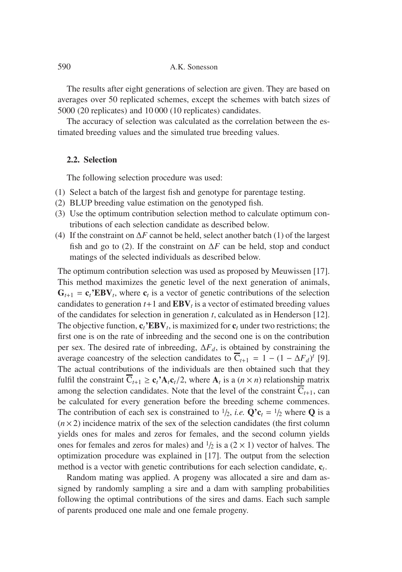The results after eight generations of selection are given. They are based on averages over 50 replicated schemes, except the schemes with batch sizes of 5000 (20 replicates) and 10 000 (10 replicates) candidates.

The accuracy of selection was calculated as the correlation between the estimated breeding values and the simulated true breeding values.

#### **2.2. Selection**

The following selection procedure was used:

- (1) Select a batch of the largest fish and genotype for parentage testing.
- (2) BLUP breeding value estimation on the genotyped fish.
- (3) Use the optimum contribution selection method to calculate optimum contributions of each selection candidate as described below.
- (4) If the constraint on ∆*F* cannot be held, select another batch (1) of the largest fish and go to (2). If the constraint on  $\Delta F$  can be held, stop and conduct matings of the selected individuals as described below.

The optimum contribution selection was used as proposed by Meuwissen [17]. This method maximizes the genetic level of the next generation of animals,  $G_{t+1} = c_t$ 'EBV<sub>t</sub>, where  $c_t$  is a vector of genetic contributions of the selection candidates to generation  $t+1$  and  $EBV_t$  is a vector of estimated breeding values of the candidates for selection in generation *t*, calculated as in Henderson [12]. The objective function,  $c_t$ <sup>*EBV<sub>t</sub>*, is maximized for  $c_t$  under two restrictions; the</sup> first one is on the rate of inbreeding and the second one is on the contribution per sex. The desired rate of inbreeding,  $\Delta F_d$ , is obtained by constraining the average coancestry of the selection candidates to  $\overline{C}_{t+1} = 1 - (1 - \Delta F_d)^t$  [9]. The actual contributions of the individuals are then obtained such that they fulfil the constraint  $\overline{C}_{t+1} \ge c_t \Delta_t c_t/2$ , where  $\Delta_t$  is a  $(n \times n)$  relationship matrix among the selection candidates. Note that the level of the constraint  $\overline{C}_{t+1}$ , can be calculated for every generation before the breeding scheme commences. The contribution of each sex is constrained to  $\frac{1}{2}$ , *i.e.*  $Q^*c_t = \frac{1}{2}$  where Q is a  $(n \times 2)$  incidence matrix of the sex of the selection candidates (the first column yields ones for males and zeros for females, and the second column yields ones for females and zeros for males) and  $\frac{1}{2}$  is a  $(2 \times 1)$  vector of halves. The optimization procedure was explained in [17]. The output from the selection method is a vector with genetic contributions for each selection candidate, **c***t*.

Random mating was applied. A progeny was allocated a sire and dam assigned by randomly sampling a sire and a dam with sampling probabilities following the optimal contributions of the sires and dams. Each such sample of parents produced one male and one female progeny.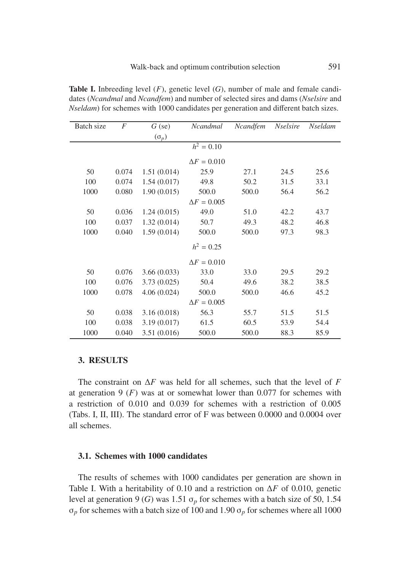| Batch size | $\boldsymbol{F}$ | $G$ (se)     | Ncandmal           | <b>Ncandfem</b> | <i>Nselsire</i> | <b>Nseldam</b> |
|------------|------------------|--------------|--------------------|-----------------|-----------------|----------------|
|            |                  | $(\sigma_p)$ |                    |                 |                 |                |
|            |                  |              | $h^2 = 0.10$       |                 |                 |                |
|            |                  |              | $\Delta F = 0.010$ |                 |                 |                |
| 50         | 0.074            | 1.51(0.014)  | 25.9               | 27.1            | 24.5            | 25.6           |
| 100        | 0.074            | 1.54(0.017)  | 49.8               | 50.2            | 31.5            | 33.1           |
| 1000       | 0.080            | 1.90(0.015)  | 500.0              | 500.0           | 56.4            | 56.2           |
|            |                  |              | $\Delta F = 0.005$ |                 |                 |                |
| 50         | 0.036            | 1.24(0.015)  | 49.0               | 51.0            | 42.2            | 43.7           |
| 100        | 0.037            | 1.32(0.014)  | 50.7               | 49.3            | 48.2            | 46.8           |
| 1000       | 0.040            | 1.59(0.014)  | 500.0              | 500.0           | 97.3            | 98.3           |
|            |                  |              | $h^2 = 0.25$       |                 |                 |                |
|            |                  |              | $\Delta F = 0.010$ |                 |                 |                |
| 50         | 0.076            | 3.66(0.033)  | 33.0               | 33.0            | 29.5            | 29.2           |
| 100        | 0.076            | 3.73(0.025)  | 50.4               | 49.6            | 38.2            | 38.5           |
| 1000       | 0.078            | 4.06(0.024)  | 500.0              | 500.0           | 46.6            | 45.2           |
|            |                  |              | $\Delta F = 0.005$ |                 |                 |                |
| 50         | 0.038            | 3.16(0.018)  | 56.3               | 55.7            | 51.5            | 51.5           |
| 100        | 0.038            | 3.19(0.017)  | 61.5               | 60.5            | 53.9            | 54.4           |
| 1000       | 0.040            | 3.51(0.016)  | 500.0              | 500.0           | 88.3            | 85.9           |

**Table I.** Inbreeding level (*F*), genetic level (*G*), number of male and female candidates (*Ncandmal* and *Ncandfem*) and number of selected sires and dams (*Nselsire* and *Nseldam*) for schemes with 1000 candidates per generation and different batch sizes.

#### **3. RESULTS**

The constraint on ∆*F* was held for all schemes, such that the level of *F* at generation 9  $(F)$  was at or somewhat lower than 0.077 for schemes with a restriction of 0.010 and 0.039 for schemes with a restriction of 0.005 (Tabs. I, II, III). The standard error of F was between 0.0000 and 0.0004 over all schemes.

## **3.1. Schemes with 1000 candidates**

The results of schemes with 1000 candidates per generation are shown in Table I. With a heritability of 0.10 and a restriction on ∆*F* of 0.010, genetic level at generation 9 (*G*) was 1.51  $\sigma_p$  for schemes with a batch size of 50, 1.54 σ*<sup>p</sup>* for schemes with a batch size of 100 and 1.90 σ*<sup>p</sup>* for schemes where all 1000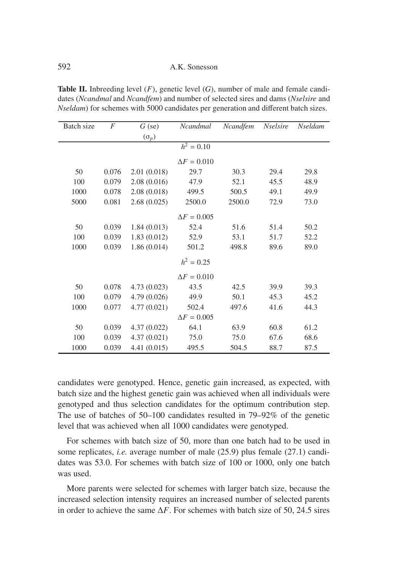592 A.K. Sonesson

| Batch size | $\boldsymbol{F}$ | $G$ (se)     | Ncandmal           | Ncandfem | <i>Nselsire</i> | <b>Nseldam</b> |
|------------|------------------|--------------|--------------------|----------|-----------------|----------------|
|            |                  | $(\sigma_p)$ |                    |          |                 |                |
|            |                  |              | $h^2 = 0.10$       |          |                 |                |
|            |                  |              | $\Delta F = 0.010$ |          |                 |                |
| 50         | 0.076            | 2.01(0.018)  | 29.7               | 30.3     | 29.4            | 29.8           |
| 100        | 0.079            | 2.08(0.016)  | 47.9               | 52.1     | 45.5            | 48.9           |
| 1000       | 0.078            | 2.08(0.018)  | 499.5              | 500.5    | 49.1            | 49.9           |
| 5000       | 0.081            | 2.68(0.025)  | 2500.0             | 2500.0   | 72.9            | 73.0           |
|            |                  |              | $\Delta F = 0.005$ |          |                 |                |
| 50         | 0.039            | 1.84(0.013)  | 52.4               | 51.6     | 51.4            | 50.2           |
| 100        | 0.039            | 1.83(0.012)  | 52.9               | 53.1     | 51.7            | 52.2           |
| 1000       | 0.039            | 1.86(0.014)  | 501.2              | 498.8    | 89.6            | 89.0           |
|            |                  |              | $h^2 = 0.25$       |          |                 |                |
|            |                  |              | $\Delta F = 0.010$ |          |                 |                |
| 50         | 0.078            | 4.73(0.023)  | 43.5               | 42.5     | 39.9            | 39.3           |
| 100        | 0.079            | 4.79(0.026)  | 49.9               | 50.1     | 45.3            | 45.2           |
| 1000       | 0.077            | 4.77(0.021)  | 502.4              | 497.6    | 41.6            | 44.3           |
|            |                  |              | $\Delta F = 0.005$ |          |                 |                |
| 50         | 0.039            | 4.37(0.022)  | 64.1               | 63.9     | 60.8            | 61.2           |
| 100        | 0.039            | 4.37(0.021)  | 75.0               | 75.0     | 67.6            | 68.6           |
| 1000       | 0.039            | 4.41(0.015)  | 495.5              | 504.5    | 88.7            | 87.5           |

**Table II.** Inbreeding level (*F*), genetic level (*G*), number of male and female candidates (*Ncandmal* and *Ncandfem*) and number of selected sires and dams (*Nselsire* and *Nseldam*) for schemes with 5000 candidates per generation and different batch sizes.

candidates were genotyped. Hence, genetic gain increased, as expected, with batch size and the highest genetic gain was achieved when all individuals were genotyped and thus selection candidates for the optimum contribution step. The use of batches of 50–100 candidates resulted in 79–92% of the genetic level that was achieved when all 1000 candidates were genotyped.

For schemes with batch size of 50, more than one batch had to be used in some replicates, *i.e.* average number of male (25.9) plus female (27.1) candidates was 53.0. For schemes with batch size of 100 or 1000, only one batch was used.

More parents were selected for schemes with larger batch size, because the increased selection intensity requires an increased number of selected parents in order to achieve the same ∆*F*. For schemes with batch size of 50, 24.5 sires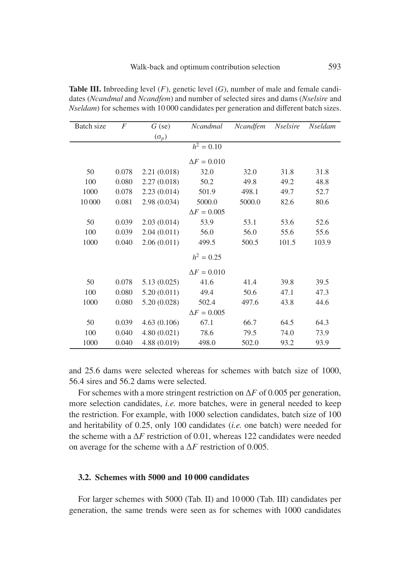| Batch size | $\overline{F}$ | $G$ (se)     | <i>Ncandmal</i>         | <i>Ncandfem</i> | <i>Nselsire</i> | <b>Nseldam</b> |
|------------|----------------|--------------|-------------------------|-----------------|-----------------|----------------|
|            |                | $(\sigma_p)$ |                         |                 |                 |                |
|            |                |              | $\overline{h}^2 = 0.10$ |                 |                 |                |
|            |                |              |                         |                 |                 |                |
|            |                |              | $\Delta F = 0.010$      |                 |                 |                |
| 50         | 0.078          | 2.21(0.018)  | 32.0                    | 32.0            | 31.8            | 31.8           |
| 100        | 0.080          | 2.27(0.018)  | 50.2                    | 49.8            | 49.2            | 48.8           |
| 1000       | 0.078          | 2.23(0.014)  | 501.9                   | 498.1           | 49.7            | 52.7           |
| 10 000     | 0.081          | 2.98(0.034)  | 5000.0                  | 5000.0          | 82.6            | 80.6           |
|            |                |              | $\Delta F = 0.005$      |                 |                 |                |
| 50         | 0.039          | 2.03(0.014)  | 53.9                    | 53.1            | 53.6            | 52.6           |
| 100        | 0.039          | 2.04(0.011)  | 56.0                    | 56.0            | 55.6            | 55.6           |
| 1000       | 0.040          | 2.06(0.011)  | 499.5                   | 500.5           | 101.5           | 103.9          |
|            |                |              | $h^2 = 0.25$            |                 |                 |                |
|            |                |              | $\Delta F = 0.010$      |                 |                 |                |
| 50         | 0.078          | 5.13(0.025)  | 41.6                    | 41.4            | 39.8            | 39.5           |
| 100        | 0.080          | 5.20(0.011)  | 49.4                    | 50.6            | 47.1            | 47.3           |
| 1000       | 0.080          | 5.20(0.028)  | 502.4                   | 497.6           | 43.8            | 44.6           |
|            |                |              | $\Delta F = 0.005$      |                 |                 |                |
| 50         | 0.039          | 4.63(0.106)  | 67.1                    | 66.7            | 64.5            | 64.3           |
| 100        | 0.040          | 4.80(0.021)  | 78.6                    | 79.5            | 74.0            | 73.9           |
| 1000       | 0.040          | 4.88 (0.019) | 498.0                   | 502.0           | 93.2            | 93.9           |

**Table III.** Inbreeding level (*F*), genetic level (*G*), number of male and female candidates (*Ncandmal* and *Ncandfem*) and number of selected sires and dams (*Nselsire* and *Nseldam*) for schemes with 10 000 candidates per generation and different batch sizes.

and 25.6 dams were selected whereas for schemes with batch size of 1000, 56.4 sires and 56.2 dams were selected.

For schemes with a more stringent restriction on ∆*F* of 0.005 per generation, more selection candidates, *i.e.* more batches, were in general needed to keep the restriction. For example, with 1000 selection candidates, batch size of 100 and heritability of 0.25, only 100 candidates (*i.e.* one batch) were needed for the scheme with a ∆*F* restriction of 0.01, whereas 122 candidates were needed on average for the scheme with a ∆*F* restriction of 0.005.

# **3.2. Schemes with 5000 and 10 000 candidates**

For larger schemes with 5000 (Tab. II) and 10 000 (Tab. III) candidates per generation, the same trends were seen as for schemes with 1000 candidates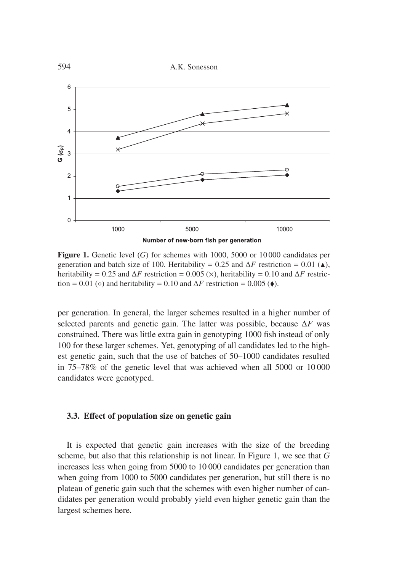594 A.K. Sonesson



**Figure 1.** Genetic level (*G*) for schemes with 1000, 5000 or 10 000 candidates per generation and batch size of 100. Heritability = 0.25 and  $\Delta F$  restriction = 0.01 ( $\triangle$ ), heritability = 0.25 and  $\Delta F$  restriction = 0.005 (×), heritability = 0.10 and  $\Delta F$  restriction = 0.01 (○) and heritability = 0.10 and  $\Delta F$  restriction = 0.005 (♦).

per generation. In general, the larger schemes resulted in a higher number of selected parents and genetic gain. The latter was possible, because ∆*F* was constrained. There was little extra gain in genotyping 1000 fish instead of only 100 for these larger schemes. Yet, genotyping of all candidates led to the highest genetic gain, such that the use of batches of 50–1000 candidates resulted in 75–78% of the genetic level that was achieved when all 5000 or 10 000 candidates were genotyped.

#### **3.3. E**ff**ect of population size on genetic gain**

It is expected that genetic gain increases with the size of the breeding scheme, but also that this relationship is not linear. In Figure 1, we see that *G* increases less when going from 5000 to 10 000 candidates per generation than when going from 1000 to 5000 candidates per generation, but still there is no plateau of genetic gain such that the schemes with even higher number of candidates per generation would probably yield even higher genetic gain than the largest schemes here.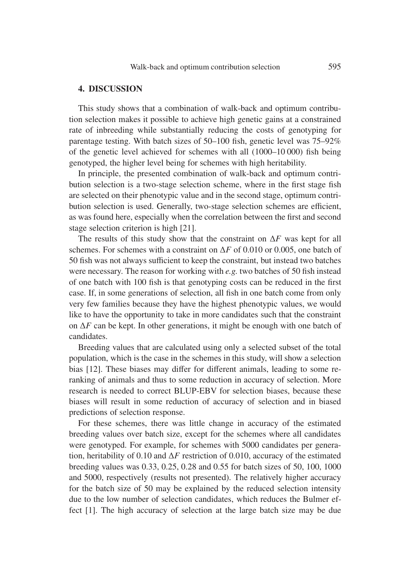#### **4. DISCUSSION**

This study shows that a combination of walk-back and optimum contribution selection makes it possible to achieve high genetic gains at a constrained rate of inbreeding while substantially reducing the costs of genotyping for parentage testing. With batch sizes of 50–100 fish, genetic level was 75–92% of the genetic level achieved for schemes with all (1000–10 000) fish being genotyped, the higher level being for schemes with high heritability.

In principle, the presented combination of walk-back and optimum contribution selection is a two-stage selection scheme, where in the first stage fish are selected on their phenotypic value and in the second stage, optimum contribution selection is used. Generally, two-stage selection schemes are efficient, as was found here, especially when the correlation between the first and second stage selection criterion is high [21].

The results of this study show that the constraint on ∆*F* was kept for all schemes. For schemes with a constraint on ∆*F* of 0.010 or 0.005, one batch of 50 fish was not always sufficient to keep the constraint, but instead two batches were necessary. The reason for working with *e.g.* two batches of 50 fish instead of one batch with 100 fish is that genotyping costs can be reduced in the first case. If, in some generations of selection, all fish in one batch come from only very few families because they have the highest phenotypic values, we would like to have the opportunity to take in more candidates such that the constraint on ∆*F* can be kept. In other generations, it might be enough with one batch of candidates.

Breeding values that are calculated using only a selected subset of the total population, which is the case in the schemes in this study, will show a selection bias [12]. These biases may differ for different animals, leading to some reranking of animals and thus to some reduction in accuracy of selection. More research is needed to correct BLUP-EBV for selection biases, because these biases will result in some reduction of accuracy of selection and in biased predictions of selection response.

For these schemes, there was little change in accuracy of the estimated breeding values over batch size, except for the schemes where all candidates were genotyped. For example, for schemes with 5000 candidates per generation, heritability of 0.10 and ∆*F* restriction of 0.010, accuracy of the estimated breeding values was 0.33, 0.25, 0.28 and 0.55 for batch sizes of 50, 100, 1000 and 5000, respectively (results not presented). The relatively higher accuracy for the batch size of 50 may be explained by the reduced selection intensity due to the low number of selection candidates, which reduces the Bulmer effect [1]. The high accuracy of selection at the large batch size may be due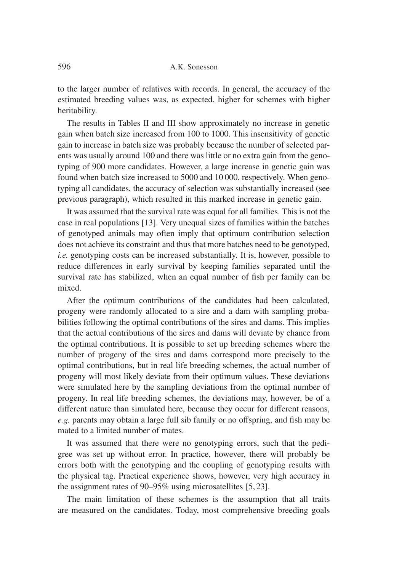to the larger number of relatives with records. In general, the accuracy of the estimated breeding values was, as expected, higher for schemes with higher heritability.

The results in Tables II and III show approximately no increase in genetic gain when batch size increased from 100 to 1000. This insensitivity of genetic gain to increase in batch size was probably because the number of selected parents was usually around 100 and there was little or no extra gain from the genotyping of 900 more candidates. However, a large increase in genetic gain was found when batch size increased to 5000 and 10 000, respectively. When genotyping all candidates, the accuracy of selection was substantially increased (see previous paragraph), which resulted in this marked increase in genetic gain.

It was assumed that the survival rate was equal for all families. This is not the case in real populations [13]. Very unequal sizes of families within the batches of genotyped animals may often imply that optimum contribution selection does not achieve its constraint and thus that more batches need to be genotyped, *i.e.* genotyping costs can be increased substantially. It is, however, possible to reduce differences in early survival by keeping families separated until the survival rate has stabilized, when an equal number of fish per family can be mixed.

After the optimum contributions of the candidates had been calculated, progeny were randomly allocated to a sire and a dam with sampling probabilities following the optimal contributions of the sires and dams. This implies that the actual contributions of the sires and dams will deviate by chance from the optimal contributions. It is possible to set up breeding schemes where the number of progeny of the sires and dams correspond more precisely to the optimal contributions, but in real life breeding schemes, the actual number of progeny will most likely deviate from their optimum values. These deviations were simulated here by the sampling deviations from the optimal number of progeny. In real life breeding schemes, the deviations may, however, be of a different nature than simulated here, because they occur for different reasons, *e.g.* parents may obtain a large full sib family or no offspring, and fish may be mated to a limited number of mates.

It was assumed that there were no genotyping errors, such that the pedigree was set up without error. In practice, however, there will probably be errors both with the genotyping and the coupling of genotyping results with the physical tag. Practical experience shows, however, very high accuracy in the assignment rates of 90–95% using microsatellites [5, 23].

The main limitation of these schemes is the assumption that all traits are measured on the candidates. Today, most comprehensive breeding goals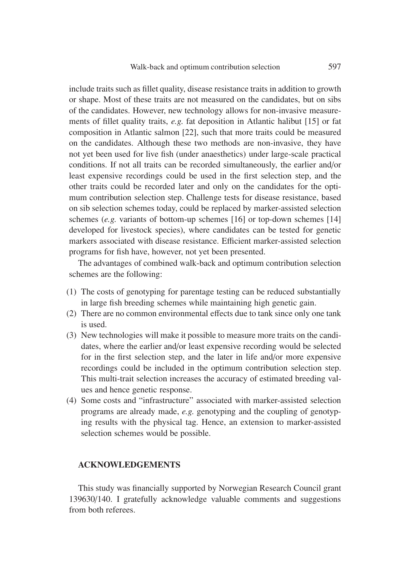include traits such as fillet quality, disease resistance traits in addition to growth or shape. Most of these traits are not measured on the candidates, but on sibs of the candidates. However, new technology allows for non-invasive measurements of fillet quality traits, *e.g.* fat deposition in Atlantic halibut [15] or fat composition in Atlantic salmon [22], such that more traits could be measured on the candidates. Although these two methods are non-invasive, they have not yet been used for live fish (under anaesthetics) under large-scale practical conditions. If not all traits can be recorded simultaneously, the earlier and/or least expensive recordings could be used in the first selection step, and the other traits could be recorded later and only on the candidates for the optimum contribution selection step. Challenge tests for disease resistance, based on sib selection schemes today, could be replaced by marker-assisted selection schemes (*e.g.* variants of bottom-up schemes [16] or top-down schemes [14] developed for livestock species), where candidates can be tested for genetic markers associated with disease resistance. Efficient marker-assisted selection programs for fish have, however, not yet been presented.

The advantages of combined walk-back and optimum contribution selection schemes are the following:

- (1) The costs of genotyping for parentage testing can be reduced substantially in large fish breeding schemes while maintaining high genetic gain.
- (2) There are no common environmental effects due to tank since only one tank is used.
- (3) New technologies will make it possible to measure more traits on the candidates, where the earlier and/or least expensive recording would be selected for in the first selection step, and the later in life and/or more expensive recordings could be included in the optimum contribution selection step. This multi-trait selection increases the accuracy of estimated breeding values and hence genetic response.
- (4) Some costs and "infrastructure" associated with marker-assisted selection programs are already made, *e.g.* genotyping and the coupling of genotyping results with the physical tag. Hence, an extension to marker-assisted selection schemes would be possible.

# **ACKNOWLEDGEMENTS**

This study was financially supported by Norwegian Research Council grant 139630/140. I gratefully acknowledge valuable comments and suggestions from both referees.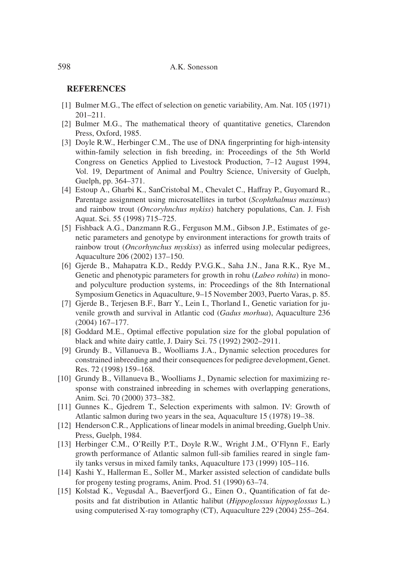### **REFERENCES**

- [1] Bulmer M.G., The effect of selection on genetic variability, Am. Nat. 105 (1971) 201–211.
- [2] Bulmer M.G., The mathematical theory of quantitative genetics, Clarendon Press, Oxford, 1985.
- [3] Doyle R.W., Herbinger C.M., The use of DNA fingerprinting for high-intensity within-family selection in fish breeding, in: Proceedings of the 5th World Congress on Genetics Applied to Livestock Production, 7–12 August 1994, Vol. 19, Department of Animal and Poultry Science, University of Guelph, Guelph, pp. 364–371.
- [4] Estoup A., Gharbi K., SanCristobal M., Chevalet C., Haffray P., Guyomard R., Parentage assignment using microsatellites in turbot (*Scophthalmus maximus*) and rainbow trout (*Oncoryhnchus mykiss*) hatchery populations, Can. J. Fish Aquat. Sci. 55 (1998) 715–725.
- [5] Fishback A.G., Danzmann R.G., Ferguson M.M., Gibson J.P., Estimates of genetic parameters and genotype by environment interactions for growth traits of rainbow trout (*Oncorhynchus myskiss*) as inferred using molecular pedigrees, Aquaculture 206 (2002) 137–150.
- [6] Gjerde B., Mahapatra K.D., Reddy P.V.G.K., Saha J.N., Jana R.K., Rye M., Genetic and phenotypic parameters for growth in rohu (*Labeo rohita*) in monoand polyculture production systems, in: Proceedings of the 8th International Symposium Genetics in Aquaculture, 9–15 November 2003, Puerto Varas, p. 85.
- [7] Gjerde B., Terjesen B.F., Barr Y., Lein I., Thorland I., Genetic variation for juvenile growth and survival in Atlantic cod (*Gadus morhua*), Aquaculture 236 (2004) 167–177.
- [8] Goddard M.E., Optimal effective population size for the global population of black and white dairy cattle, J. Dairy Sci. 75 (1992) 2902–2911.
- [9] Grundy B., Villanueva B., Woolliams J.A., Dynamic selection procedures for constrained inbreeding and their consequences for pedigree development, Genet. Res. 72 (1998) 159–168.
- [10] Grundy B., Villanueva B., Woolliams J., Dynamic selection for maximizing response with constrained inbreeding in schemes with overlapping generations, Anim. Sci. 70 (2000) 373–382.
- [11] Gunnes K., Gjedrem T., Selection experiments with salmon. IV: Growth of Atlantic salmon during two years in the sea, Aquaculture 15 (1978) 19–38.
- [12] Henderson C.R., Applications of linear models in animal breeding, Guelph Univ. Press, Guelph, 1984.
- [13] Herbinger C.M., O'Reilly P.T., Doyle R.W., Wright J.M., O'Flynn F., Early growth performance of Atlantic salmon full-sib families reared in single family tanks versus in mixed family tanks, Aquaculture 173 (1999) 105–116.
- [14] Kashi Y., Hallerman E., Soller M., Marker assisted selection of candidate bulls for progeny testing programs, Anim. Prod. 51 (1990) 63–74.
- [15] Kolstad K., Vegusdal A., Baeverfjord G., Einen O., Quantification of fat deposits and fat distribution in Atlantic halibut (*Hippoglossus hippoglossus* L.) using computerised X-ray tomography (CT), Aquaculture 229 (2004) 255–264.